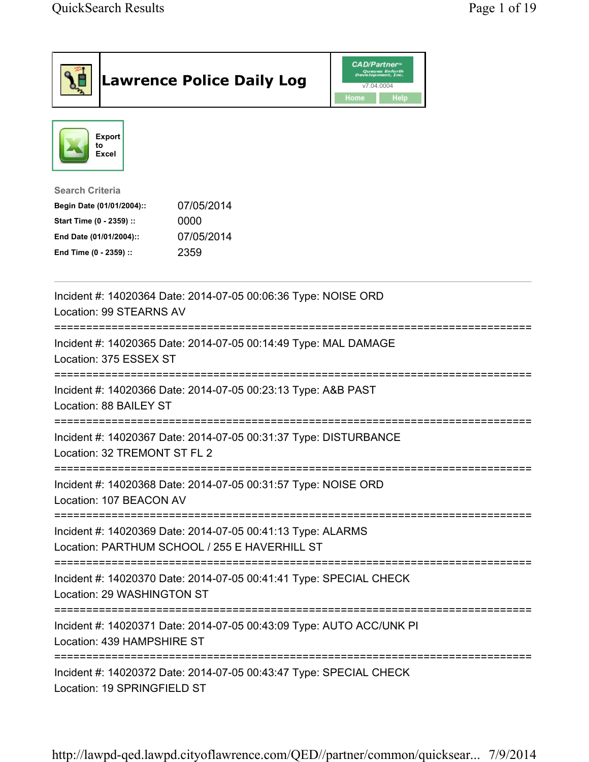|                                                                                                                                      | <b>Lawrence Police Daily Log</b>                                                                             | <b>CAD/Partner</b><br>Queues Enforth<br>Development, Inc.<br>v7.04.0004<br>Home<br>Help |  |
|--------------------------------------------------------------------------------------------------------------------------------------|--------------------------------------------------------------------------------------------------------------|-----------------------------------------------------------------------------------------|--|
| <b>Export</b><br>to<br><b>Excel</b>                                                                                                  |                                                                                                              |                                                                                         |  |
| <b>Search Criteria</b><br>Begin Date (01/01/2004)::<br>Start Time (0 - 2359) ::<br>End Date (01/01/2004)::<br>End Time (0 - 2359) :: | 07/05/2014<br>0000<br>07/05/2014<br>2359                                                                     |                                                                                         |  |
| Location: 99 STEARNS AV                                                                                                              | Incident #: 14020364 Date: 2014-07-05 00:06:36 Type: NOISE ORD                                               |                                                                                         |  |
| Location: 375 ESSEX ST                                                                                                               | Incident #: 14020365 Date: 2014-07-05 00:14:49 Type: MAL DAMAGE                                              |                                                                                         |  |
| Location: 88 BAILEY ST                                                                                                               | Incident #: 14020366 Date: 2014-07-05 00:23:13 Type: A&B PAST                                                |                                                                                         |  |
| Location: 32 TREMONT ST FL 2                                                                                                         | Incident #: 14020367 Date: 2014-07-05 00:31:37 Type: DISTURBANCE                                             |                                                                                         |  |
| Location: 107 BEACON AV                                                                                                              | Incident #: 14020368 Date: 2014-07-05 00:31:57 Type: NOISE ORD                                               |                                                                                         |  |
|                                                                                                                                      | Incident #: 14020369 Date: 2014-07-05 00:41:13 Type: ALARMS<br>Location: PARTHUM SCHOOL / 255 E HAVERHILL ST |                                                                                         |  |
| Location: 29 WASHINGTON ST                                                                                                           | Incident #: 14020370 Date: 2014-07-05 00:41:41 Type: SPECIAL CHECK                                           |                                                                                         |  |
| Location: 439 HAMPSHIRE ST                                                                                                           | Incident #: 14020371 Date: 2014-07-05 00:43:09 Type: AUTO ACC/UNK PI                                         |                                                                                         |  |
| Location: 19 SPRINGFIELD ST                                                                                                          | Incident #: 14020372 Date: 2014-07-05 00:43:47 Type: SPECIAL CHECK                                           |                                                                                         |  |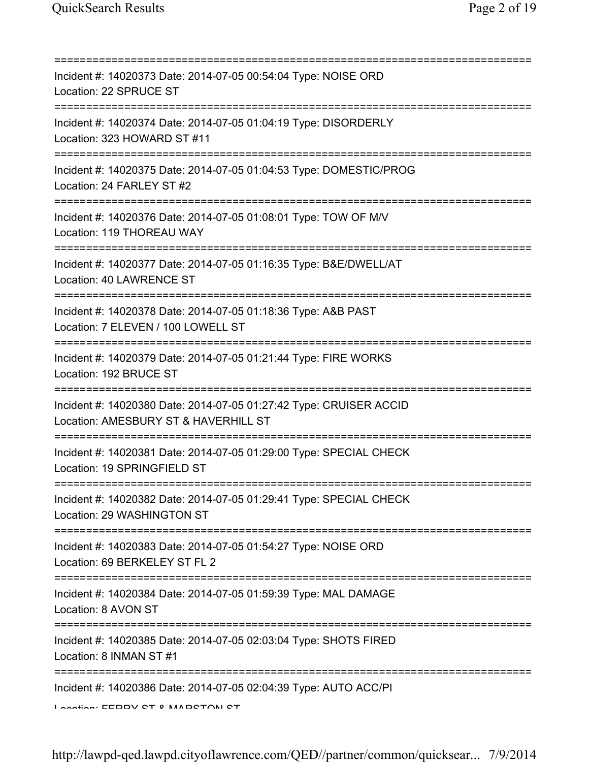| Incident #: 14020373 Date: 2014-07-05 00:54:04 Type: NOISE ORD<br>Location: 22 SPRUCE ST                                                |
|-----------------------------------------------------------------------------------------------------------------------------------------|
| Incident #: 14020374 Date: 2014-07-05 01:04:19 Type: DISORDERLY<br>Location: 323 HOWARD ST #11<br>===================================== |
| Incident #: 14020375 Date: 2014-07-05 01:04:53 Type: DOMESTIC/PROG<br>Location: 24 FARLEY ST #2<br>================================     |
| Incident #: 14020376 Date: 2014-07-05 01:08:01 Type: TOW OF M/V<br>Location: 119 THOREAU WAY                                            |
| Incident #: 14020377 Date: 2014-07-05 01:16:35 Type: B&E/DWELL/AT<br>Location: 40 LAWRENCE ST                                           |
| Incident #: 14020378 Date: 2014-07-05 01:18:36 Type: A&B PAST<br>Location: 7 ELEVEN / 100 LOWELL ST<br>========                         |
| Incident #: 14020379 Date: 2014-07-05 01:21:44 Type: FIRE WORKS<br>Location: 192 BRUCE ST                                               |
| Incident #: 14020380 Date: 2014-07-05 01:27:42 Type: CRUISER ACCID<br>Location: AMESBURY ST & HAVERHILL ST                              |
| Incident #: 14020381 Date: 2014-07-05 01:29:00 Type: SPECIAL CHECK<br>Location: 19 SPRINGFIELD ST                                       |
| Incident #: 14020382 Date: 2014-07-05 01:29:41 Type: SPECIAL CHECK<br>Location: 29 WASHINGTON ST                                        |
| Incident #: 14020383 Date: 2014-07-05 01:54:27 Type: NOISE ORD<br>Location: 69 BERKELEY ST FL 2                                         |
| Incident #: 14020384 Date: 2014-07-05 01:59:39 Type: MAL DAMAGE<br>Location: 8 AVON ST                                                  |
| Incident #: 14020385 Date: 2014-07-05 02:03:04 Type: SHOTS FIRED<br>Location: 8 INMAN ST #1                                             |
| Incident #: 14020386 Date: 2014-07-05 02:04:39 Type: AUTO ACC/PI<br>Lootion: EEDDV CT 0 MADCTONI CT                                     |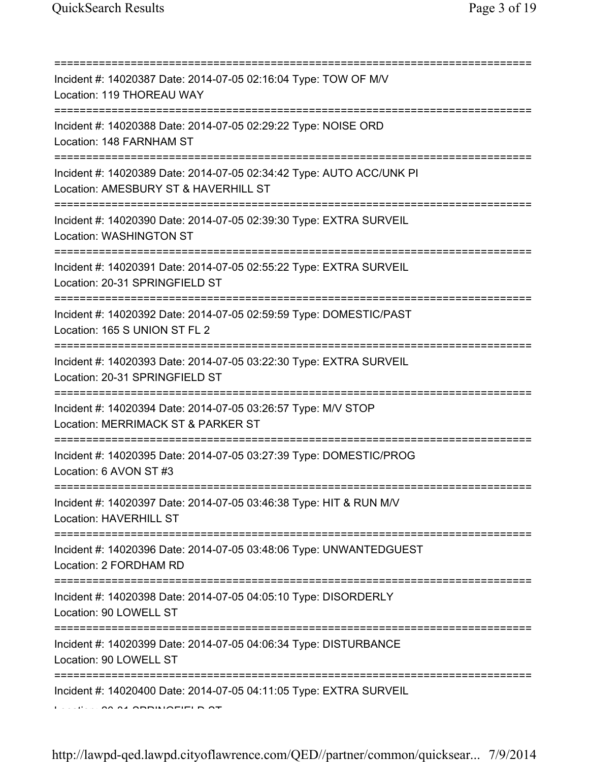| Incident #: 14020387 Date: 2014-07-05 02:16:04 Type: TOW OF M/V<br>Location: 119 THOREAU WAY<br>=========================== |
|-----------------------------------------------------------------------------------------------------------------------------|
| Incident #: 14020388 Date: 2014-07-05 02:29:22 Type: NOISE ORD<br>Location: 148 FARNHAM ST                                  |
| Incident #: 14020389 Date: 2014-07-05 02:34:42 Type: AUTO ACC/UNK PI<br>Location: AMESBURY ST & HAVERHILL ST                |
| Incident #: 14020390 Date: 2014-07-05 02:39:30 Type: EXTRA SURVEIL<br>Location: WASHINGTON ST                               |
| Incident #: 14020391 Date: 2014-07-05 02:55:22 Type: EXTRA SURVEIL<br>Location: 20-31 SPRINGFIELD ST                        |
| Incident #: 14020392 Date: 2014-07-05 02:59:59 Type: DOMESTIC/PAST<br>Location: 165 S UNION ST FL 2                         |
| Incident #: 14020393 Date: 2014-07-05 03:22:30 Type: EXTRA SURVEIL<br>Location: 20-31 SPRINGFIELD ST                        |
| Incident #: 14020394 Date: 2014-07-05 03:26:57 Type: M/V STOP<br>Location: MERRIMACK ST & PARKER ST                         |
| Incident #: 14020395 Date: 2014-07-05 03:27:39 Type: DOMESTIC/PROG<br>Location: 6 AVON ST #3                                |
| Incident #: 14020397 Date: 2014-07-05 03:46:38 Type: HIT & RUN M/V<br><b>Location: HAVERHILL ST</b>                         |
| Incident #: 14020396 Date: 2014-07-05 03:48:06 Type: UNWANTEDGUEST<br>Location: 2 FORDHAM RD                                |
| Incident #: 14020398 Date: 2014-07-05 04:05:10 Type: DISORDERLY<br>Location: 90 LOWELL ST                                   |
| Incident #: 14020399 Date: 2014-07-05 04:06:34 Type: DISTURBANCE<br>Location: 90 LOWELL ST                                  |
| Incident #: 14020400 Date: 2014-07-05 04:11:05 Type: EXTRA SURVEIL                                                          |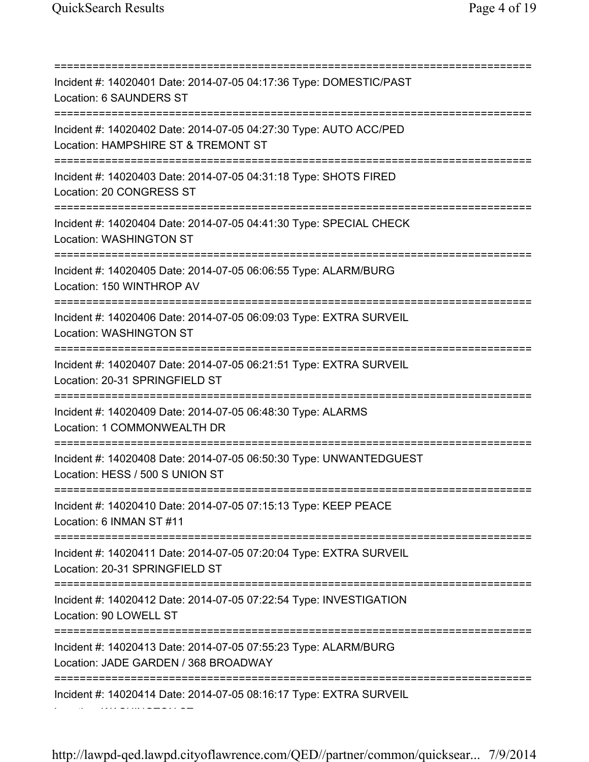=========================================================================== Incident #: 14020401 Date: 2014-07-05 04:17:36 Type: DOMESTIC/PAST Location: 6 SAUNDERS ST =========================================================================== Incident #: 14020402 Date: 2014-07-05 04:27:30 Type: AUTO ACC/PED Location: HAMPSHIRE ST & TREMONT ST =========================================================================== Incident #: 14020403 Date: 2014-07-05 04:31:18 Type: SHOTS FIRED Location: 20 CONGRESS ST =========================================================================== Incident #: 14020404 Date: 2014-07-05 04:41:30 Type: SPECIAL CHECK Location: WASHINGTON ST =========================================================================== Incident #: 14020405 Date: 2014-07-05 06:06:55 Type: ALARM/BURG Location: 150 WINTHROP AV =========================================================================== Incident #: 14020406 Date: 2014-07-05 06:09:03 Type: EXTRA SURVEIL Location: WASHINGTON ST =========================================================================== Incident #: 14020407 Date: 2014-07-05 06:21:51 Type: EXTRA SURVEIL Location: 20-31 SPRINGFIELD ST =========================================================================== Incident #: 14020409 Date: 2014-07-05 06:48:30 Type: ALARMS Location: 1 COMMONWEALTH DR =========================================================================== Incident #: 14020408 Date: 2014-07-05 06:50:30 Type: UNWANTEDGUEST Location: HESS / 500 S UNION ST =========================================================================== Incident #: 14020410 Date: 2014-07-05 07:15:13 Type: KEEP PEACE Location: 6 INMAN ST #11 =========================================================================== Incident #: 14020411 Date: 2014-07-05 07:20:04 Type: EXTRA SURVEIL Location: 20-31 SPRINGFIELD ST =========================================================================== Incident #: 14020412 Date: 2014-07-05 07:22:54 Type: INVESTIGATION Location: 90 LOWELL ST =========================================================================== Incident #: 14020413 Date: 2014-07-05 07:55:23 Type: ALARM/BURG Location: JADE GARDEN / 368 BROADWAY =========================================================================== Incident #: 14020414 Date: 2014-07-05 08:16:17 Type: EXTRA SURVEIL Location: WASHINGTON ST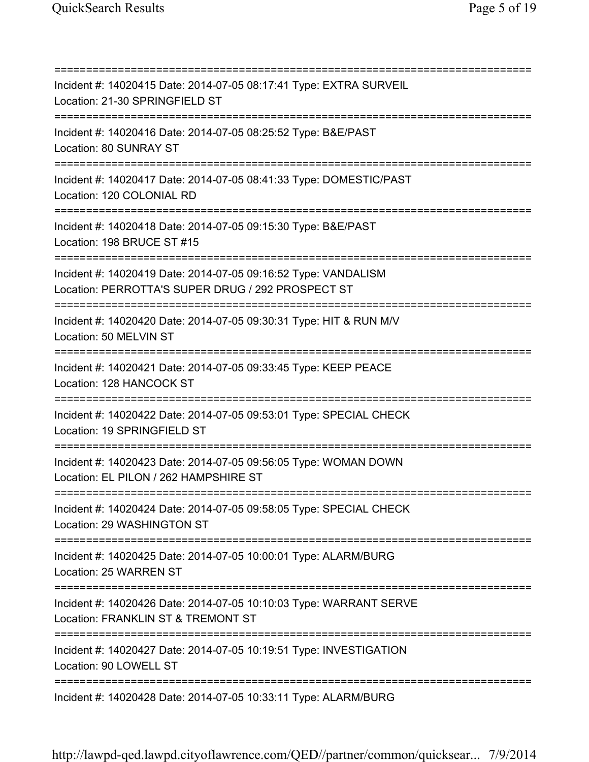=========================================================================== Incident #: 14020415 Date: 2014-07-05 08:17:41 Type: EXTRA SURVEIL Location: 21-30 SPRINGFIELD ST =========================================================================== Incident #: 14020416 Date: 2014-07-05 08:25:52 Type: B&E/PAST Location: 80 SUNRAY ST =========================================================================== Incident #: 14020417 Date: 2014-07-05 08:41:33 Type: DOMESTIC/PAST Location: 120 COLONIAL RD =========================================================================== Incident #: 14020418 Date: 2014-07-05 09:15:30 Type: B&E/PAST Location: 198 BRUCE ST #15 =========================================================================== Incident #: 14020419 Date: 2014-07-05 09:16:52 Type: VANDALISM Location: PERROTTA'S SUPER DRUG / 292 PROSPECT ST =========================================================================== Incident #: 14020420 Date: 2014-07-05 09:30:31 Type: HIT & RUN M/V Location: 50 MELVIN ST =========================================================================== Incident #: 14020421 Date: 2014-07-05 09:33:45 Type: KEEP PEACE Location: 128 HANCOCK ST =========================================================================== Incident #: 14020422 Date: 2014-07-05 09:53:01 Type: SPECIAL CHECK Location: 19 SPRINGFIELD ST =========================================================================== Incident #: 14020423 Date: 2014-07-05 09:56:05 Type: WOMAN DOWN Location: EL PILON / 262 HAMPSHIRE ST =========================================================================== Incident #: 14020424 Date: 2014-07-05 09:58:05 Type: SPECIAL CHECK Location: 29 WASHINGTON ST =========================================================================== Incident #: 14020425 Date: 2014-07-05 10:00:01 Type: ALARM/BURG Location: 25 WARREN ST =========================================================================== Incident #: 14020426 Date: 2014-07-05 10:10:03 Type: WARRANT SERVE Location: FRANKLIN ST & TREMONT ST =========================================================================== Incident #: 14020427 Date: 2014-07-05 10:19:51 Type: INVESTIGATION Location: 90 LOWELL ST =========================================================================== Incident #: 14020428 Date: 2014-07-05 10:33:11 Type: ALARM/BURG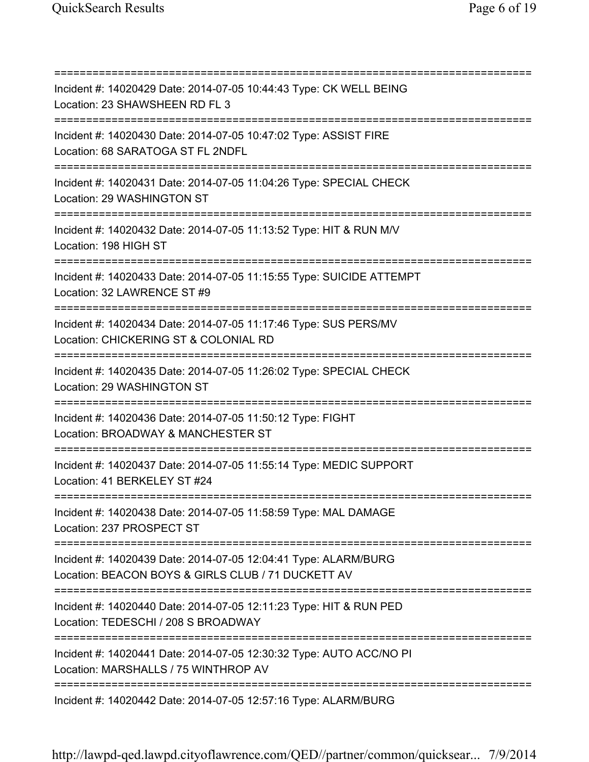=========================================================================== Incident #: 14020429 Date: 2014-07-05 10:44:43 Type: CK WELL BEING Location: 23 SHAWSHEEN RD FL 3 =========================================================================== Incident #: 14020430 Date: 2014-07-05 10:47:02 Type: ASSIST FIRE Location: 68 SARATOGA ST FL 2NDFL =========================================================================== Incident #: 14020431 Date: 2014-07-05 11:04:26 Type: SPECIAL CHECK Location: 29 WASHINGTON ST =========================================================================== Incident #: 14020432 Date: 2014-07-05 11:13:52 Type: HIT & RUN M/V Location: 198 HIGH ST =========================================================================== Incident #: 14020433 Date: 2014-07-05 11:15:55 Type: SUICIDE ATTEMPT Location: 32 LAWRENCE ST #9 =========================================================================== Incident #: 14020434 Date: 2014-07-05 11:17:46 Type: SUS PERS/MV Location: CHICKERING ST & COLONIAL RD =========================================================================== Incident #: 14020435 Date: 2014-07-05 11:26:02 Type: SPECIAL CHECK Location: 29 WASHINGTON ST =========================================================================== Incident #: 14020436 Date: 2014-07-05 11:50:12 Type: FIGHT Location: BROADWAY & MANCHESTER ST =========================================================================== Incident #: 14020437 Date: 2014-07-05 11:55:14 Type: MEDIC SUPPORT Location: 41 BERKELEY ST #24 =========================================================================== Incident #: 14020438 Date: 2014-07-05 11:58:59 Type: MAL DAMAGE Location: 237 PROSPECT ST =========================================================================== Incident #: 14020439 Date: 2014-07-05 12:04:41 Type: ALARM/BURG Location: BEACON BOYS & GIRLS CLUB / 71 DUCKETT AV =========================================================================== Incident #: 14020440 Date: 2014-07-05 12:11:23 Type: HIT & RUN PED Location: TEDESCHI / 208 S BROADWAY =========================================================================== Incident #: 14020441 Date: 2014-07-05 12:30:32 Type: AUTO ACC/NO PI Location: MARSHALLS / 75 WINTHROP AV =========================================================================== Incident #: 14020442 Date: 2014-07-05 12:57:16 Type: ALARM/BURG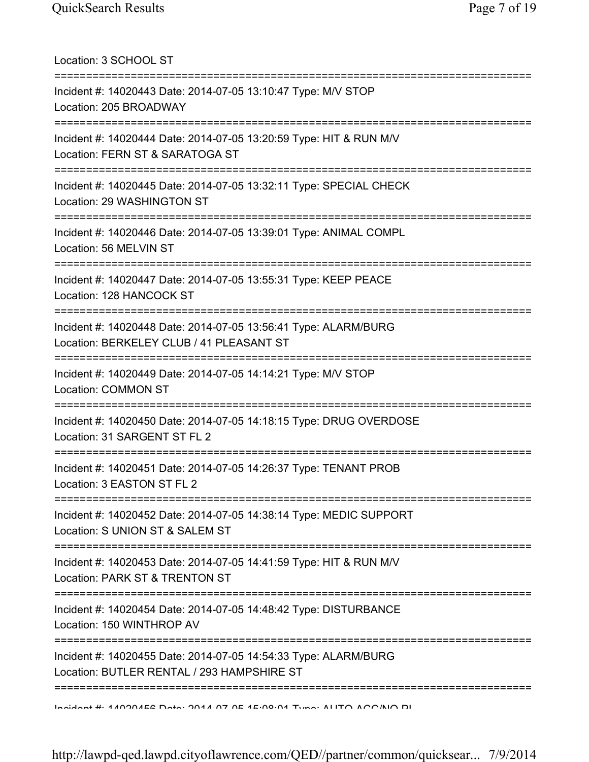Location: 3 SCHOOL ST =========================================================================== Incident #: 14020443 Date: 2014-07-05 13:10:47 Type: M/V STOP Location: 205 BROADWAY =========================================================================== Incident #: 14020444 Date: 2014-07-05 13:20:59 Type: HIT & RUN M/V Location: FERN ST & SARATOGA ST =========================================================================== Incident #: 14020445 Date: 2014-07-05 13:32:11 Type: SPECIAL CHECK Location: 29 WASHINGTON ST =========================================================================== Incident #: 14020446 Date: 2014-07-05 13:39:01 Type: ANIMAL COMPL Location: 56 MELVIN ST =========================================================================== Incident #: 14020447 Date: 2014-07-05 13:55:31 Type: KEEP PEACE Location: 128 HANCOCK ST =========================================================================== Incident #: 14020448 Date: 2014-07-05 13:56:41 Type: ALARM/BURG Location: BERKELEY CLUB / 41 PLEASANT ST =========================================================================== Incident #: 14020449 Date: 2014-07-05 14:14:21 Type: M/V STOP Location: COMMON ST =========================================================================== Incident #: 14020450 Date: 2014-07-05 14:18:15 Type: DRUG OVERDOSE Location: 31 SARGENT ST FL 2 =========================================================================== Incident #: 14020451 Date: 2014-07-05 14:26:37 Type: TENANT PROB Location: 3 EASTON ST FL 2 =========================================================================== Incident #: 14020452 Date: 2014-07-05 14:38:14 Type: MEDIC SUPPORT Location: S UNION ST & SALEM ST =========================================================================== Incident #: 14020453 Date: 2014-07-05 14:41:59 Type: HIT & RUN M/V Location: PARK ST & TRENTON ST =========================================================================== Incident #: 14020454 Date: 2014-07-05 14:48:42 Type: DISTURBANCE Location: 150 WINTHROP AV =========================================================================== Incident #: 14020455 Date: 2014-07-05 14:54:33 Type: ALARM/BURG Location: BUTLER RENTAL / 293 HAMPSHIRE ST =========================================================================== Incident #: 14020456 Date: 2014 07 05 15:08:01 Type: AUTO ACC/NO PI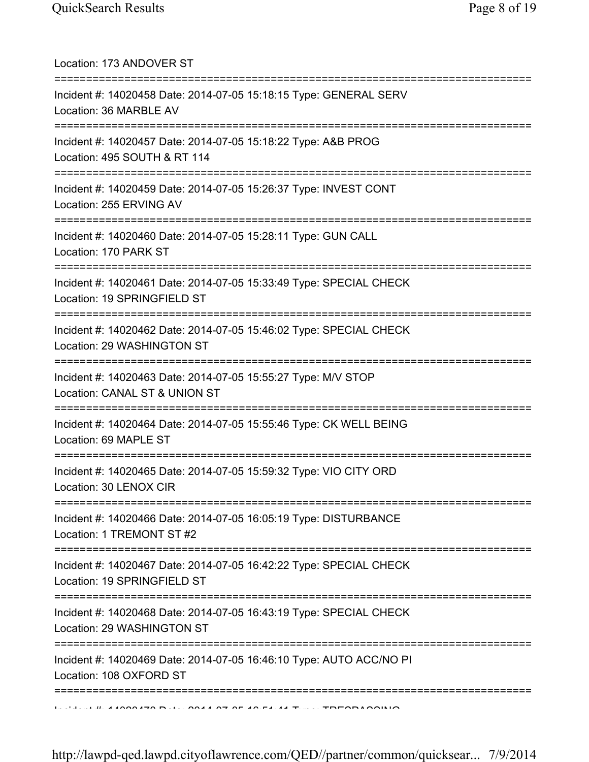| Location: 173 ANDOVER ST<br>;====================================                                                                   |
|-------------------------------------------------------------------------------------------------------------------------------------|
| Incident #: 14020458 Date: 2014-07-05 15:18:15 Type: GENERAL SERV<br>Location: 36 MARBLE AV<br>;=================================== |
| Incident #: 14020457 Date: 2014-07-05 15:18:22 Type: A&B PROG<br>Location: 495 SOUTH & RT 114<br>=========================          |
| Incident #: 14020459 Date: 2014-07-05 15:26:37 Type: INVEST CONT<br>Location: 255 ERVING AV                                         |
| Incident #: 14020460 Date: 2014-07-05 15:28:11 Type: GUN CALL<br>Location: 170 PARK ST                                              |
| Incident #: 14020461 Date: 2014-07-05 15:33:49 Type: SPECIAL CHECK<br>Location: 19 SPRINGFIELD ST                                   |
| Incident #: 14020462 Date: 2014-07-05 15:46:02 Type: SPECIAL CHECK<br>Location: 29 WASHINGTON ST                                    |
| Incident #: 14020463 Date: 2014-07-05 15:55:27 Type: M/V STOP<br>Location: CANAL ST & UNION ST                                      |
| Incident #: 14020464 Date: 2014-07-05 15:55:46 Type: CK WELL BEING<br>Location: 69 MAPLE ST                                         |
| Incident #: 14020465 Date: 2014-07-05 15:59:32 Type: VIO CITY ORD<br>Location: 30 LENOX CIR                                         |
| Incident #: 14020466 Date: 2014-07-05 16:05:19 Type: DISTURBANCE<br>Location: 1 TREMONT ST #2                                       |
| Incident #: 14020467 Date: 2014-07-05 16:42:22 Type: SPECIAL CHECK<br>Location: 19 SPRINGFIELD ST                                   |
| Incident #: 14020468 Date: 2014-07-05 16:43:19 Type: SPECIAL CHECK<br>Location: 29 WASHINGTON ST                                    |
| Incident #: 14020469 Date: 2014-07-05 16:46:10 Type: AUTO ACC/NO PI<br>Location: 108 OXFORD ST                                      |
| ================                                                                                                                    |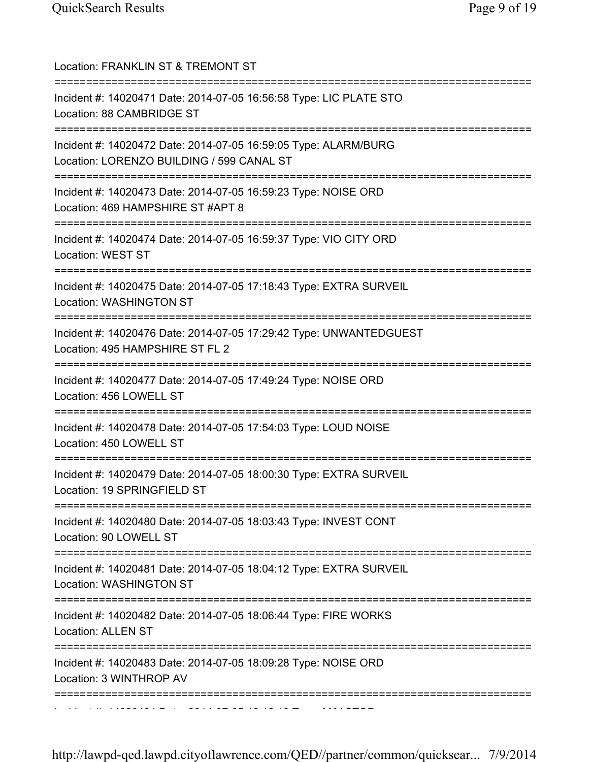| Location: FRANKLIN ST & TREMONT ST<br>========================                                               |
|--------------------------------------------------------------------------------------------------------------|
| Incident #: 14020471 Date: 2014-07-05 16:56:58 Type: LIC PLATE STO<br>Location: 88 CAMBRIDGE ST              |
| Incident #: 14020472 Date: 2014-07-05 16:59:05 Type: ALARM/BURG<br>Location: LORENZO BUILDING / 599 CANAL ST |
| Incident #: 14020473 Date: 2014-07-05 16:59:23 Type: NOISE ORD<br>Location: 469 HAMPSHIRE ST #APT 8          |
| Incident #: 14020474 Date: 2014-07-05 16:59:37 Type: VIO CITY ORD<br>Location: WEST ST                       |
| Incident #: 14020475 Date: 2014-07-05 17:18:43 Type: EXTRA SURVEIL<br>Location: WASHINGTON ST                |
| Incident #: 14020476 Date: 2014-07-05 17:29:42 Type: UNWANTEDGUEST<br>Location: 495 HAMPSHIRE ST FL 2        |
| Incident #: 14020477 Date: 2014-07-05 17:49:24 Type: NOISE ORD<br>Location: 456 LOWELL ST                    |
| Incident #: 14020478 Date: 2014-07-05 17:54:03 Type: LOUD NOISE<br>Location: 450 LOWELL ST                   |
| Incident #: 14020479 Date: 2014-07-05 18:00:30 Type: EXTRA SURVEIL<br>Location: 19 SPRINGFIELD ST            |
| Incident #: 14020480 Date: 2014-07-05 18:03:43 Type: INVEST CONT<br>Location: 90 LOWELL ST                   |
| Incident #: 14020481 Date: 2014-07-05 18:04:12 Type: EXTRA SURVEIL<br>Location: WASHINGTON ST                |
| Incident #: 14020482 Date: 2014-07-05 18:06:44 Type: FIRE WORKS<br><b>Location: ALLEN ST</b>                 |
| Incident #: 14020483 Date: 2014-07-05 18:09:28 Type: NOISE ORD<br>Location: 3 WINTHROP AV                    |
|                                                                                                              |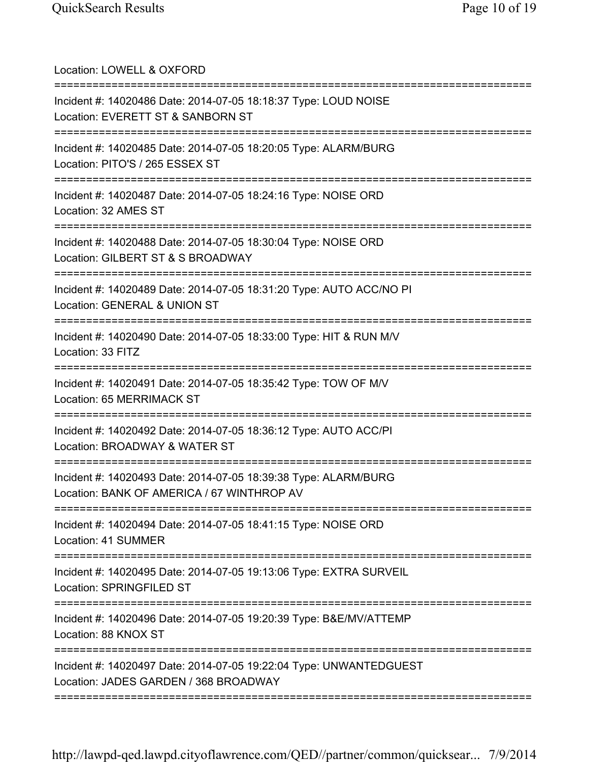| Location: LOWELL & OXFORD                                                                                                       |
|---------------------------------------------------------------------------------------------------------------------------------|
| Incident #: 14020486 Date: 2014-07-05 18:18:37 Type: LOUD NOISE<br>Location: EVERETT ST & SANBORN ST                            |
| Incident #: 14020485 Date: 2014-07-05 18:20:05 Type: ALARM/BURG<br>Location: PITO'S / 265 ESSEX ST                              |
| Incident #: 14020487 Date: 2014-07-05 18:24:16 Type: NOISE ORD<br>Location: 32 AMES ST<br>;===============================      |
| Incident #: 14020488 Date: 2014-07-05 18:30:04 Type: NOISE ORD<br>Location: GILBERT ST & S BROADWAY<br>======================== |
| Incident #: 14020489 Date: 2014-07-05 18:31:20 Type: AUTO ACC/NO PI<br>Location: GENERAL & UNION ST                             |
| Incident #: 14020490 Date: 2014-07-05 18:33:00 Type: HIT & RUN M/V<br>Location: 33 FITZ                                         |
| Incident #: 14020491 Date: 2014-07-05 18:35:42 Type: TOW OF M/V<br>Location: 65 MERRIMACK ST                                    |
| Incident #: 14020492 Date: 2014-07-05 18:36:12 Type: AUTO ACC/PI<br>Location: BROADWAY & WATER ST                               |
| Incident #: 14020493 Date: 2014-07-05 18:39:38 Type: ALARM/BURG<br>Location: BANK OF AMERICA / 67 WINTHROP AV                   |
| Incident #: 14020494 Date: 2014-07-05 18:41:15 Type: NOISE ORD<br>Location: 41 SUMMER                                           |
| Incident #: 14020495 Date: 2014-07-05 19:13:06 Type: EXTRA SURVEIL<br>Location: SPRINGFILED ST                                  |
| Incident #: 14020496 Date: 2014-07-05 19:20:39 Type: B&E/MV/ATTEMP<br>Location: 88 KNOX ST                                      |
| Incident #: 14020497 Date: 2014-07-05 19:22:04 Type: UNWANTEDGUEST<br>Location: JADES GARDEN / 368 BROADWAY                     |
|                                                                                                                                 |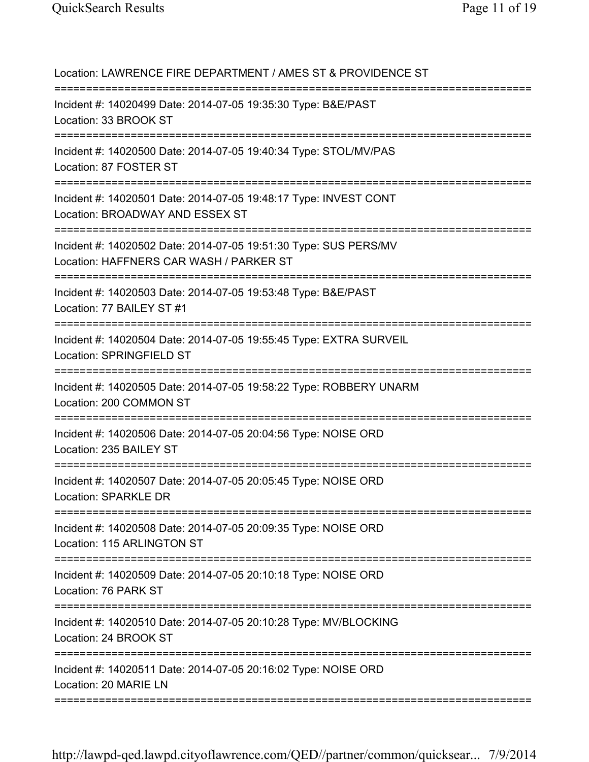| Location: LAWRENCE FIRE DEPARTMENT / AMES ST & PROVIDENCE ST                                                                               |
|--------------------------------------------------------------------------------------------------------------------------------------------|
| Incident #: 14020499 Date: 2014-07-05 19:35:30 Type: B&E/PAST<br>Location: 33 BROOK ST<br>=====================================            |
| Incident #: 14020500 Date: 2014-07-05 19:40:34 Type: STOL/MV/PAS<br>Location: 87 FOSTER ST                                                 |
| Incident #: 14020501 Date: 2014-07-05 19:48:17 Type: INVEST CONT<br>Location: BROADWAY AND ESSEX ST<br>;================================== |
| Incident #: 14020502 Date: 2014-07-05 19:51:30 Type: SUS PERS/MV<br>Location: HAFFNERS CAR WASH / PARKER ST<br>---------------------       |
| Incident #: 14020503 Date: 2014-07-05 19:53:48 Type: B&E/PAST<br>Location: 77 BAILEY ST #1                                                 |
| Incident #: 14020504 Date: 2014-07-05 19:55:45 Type: EXTRA SURVEIL<br>Location: SPRINGFIELD ST                                             |
| Incident #: 14020505 Date: 2014-07-05 19:58:22 Type: ROBBERY UNARM<br>Location: 200 COMMON ST                                              |
| Incident #: 14020506 Date: 2014-07-05 20:04:56 Type: NOISE ORD<br>Location: 235 BAILEY ST                                                  |
| =====================================<br>Incident #: 14020507 Date: 2014-07-05 20:05:45 Type: NOISE ORD<br>Location: SPARKLE DR            |
| Incident #: 14020508 Date: 2014-07-05 20:09:35 Type: NOISE ORD<br>Location: 115 ARLINGTON ST                                               |
| Incident #: 14020509 Date: 2014-07-05 20:10:18 Type: NOISE ORD<br>Location: 76 PARK ST                                                     |
| Incident #: 14020510 Date: 2014-07-05 20:10:28 Type: MV/BLOCKING<br>Location: 24 BROOK ST                                                  |
| Incident #: 14020511 Date: 2014-07-05 20:16:02 Type: NOISE ORD<br>Location: 20 MARIE LN                                                    |
|                                                                                                                                            |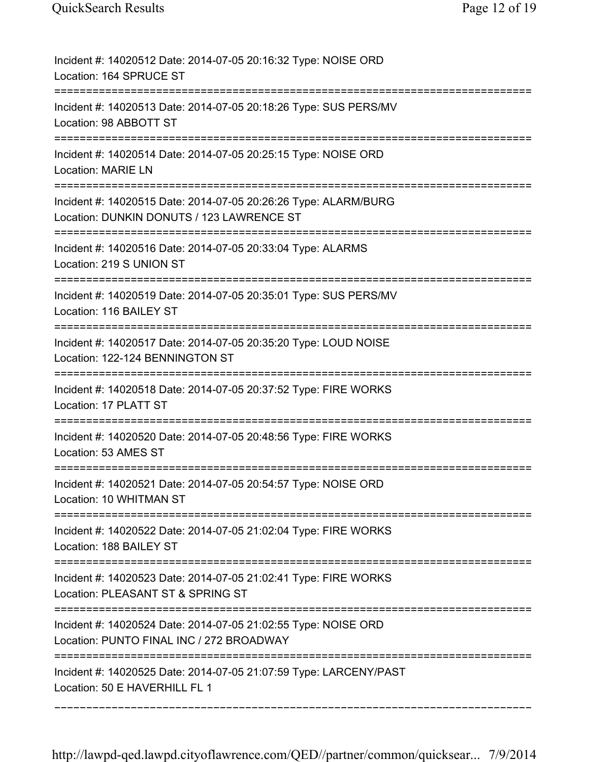| Incident #: 14020512 Date: 2014-07-05 20:16:32 Type: NOISE ORD<br>Location: 164 SPRUCE ST                                                             |
|-------------------------------------------------------------------------------------------------------------------------------------------------------|
| Incident #: 14020513 Date: 2014-07-05 20:18:26 Type: SUS PERS/MV<br>Location: 98 ABBOTT ST                                                            |
| Incident #: 14020514 Date: 2014-07-05 20:25:15 Type: NOISE ORD<br><b>Location: MARIE LN</b>                                                           |
| Incident #: 14020515 Date: 2014-07-05 20:26:26 Type: ALARM/BURG<br>Location: DUNKIN DONUTS / 123 LAWRENCE ST<br>===================================== |
| Incident #: 14020516 Date: 2014-07-05 20:33:04 Type: ALARMS<br>Location: 219 S UNION ST                                                               |
| Incident #: 14020519 Date: 2014-07-05 20:35:01 Type: SUS PERS/MV<br>Location: 116 BAILEY ST                                                           |
| Incident #: 14020517 Date: 2014-07-05 20:35:20 Type: LOUD NOISE<br>Location: 122-124 BENNINGTON ST                                                    |
| Incident #: 14020518 Date: 2014-07-05 20:37:52 Type: FIRE WORKS<br>Location: 17 PLATT ST                                                              |
| Incident #: 14020520 Date: 2014-07-05 20:48:56 Type: FIRE WORKS<br>Location: 53 AMES ST                                                               |
| Incident #: 14020521 Date: 2014-07-05 20:54:57 Type: NOISE ORD<br>Location: 10 WHITMAN ST<br>======================================                   |
| Incident #: 14020522 Date: 2014-07-05 21:02:04 Type: FIRE WORKS<br>Location: 188 BAILEY ST                                                            |
| Incident #: 14020523 Date: 2014-07-05 21:02:41 Type: FIRE WORKS<br>Location: PLEASANT ST & SPRING ST                                                  |
| Incident #: 14020524 Date: 2014-07-05 21:02:55 Type: NOISE ORD<br>Location: PUNTO FINAL INC / 272 BROADWAY                                            |
| Incident #: 14020525 Date: 2014-07-05 21:07:59 Type: LARCENY/PAST<br>Location: 50 E HAVERHILL FL 1                                                    |

===========================================================================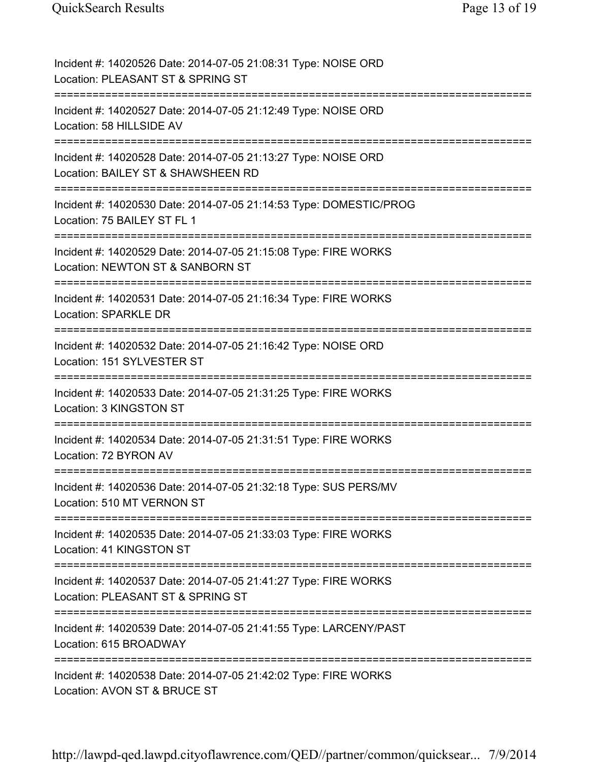| Incident #: 14020526 Date: 2014-07-05 21:08:31 Type: NOISE ORD<br>Location: PLEASANT ST & SPRING ST                       |
|---------------------------------------------------------------------------------------------------------------------------|
| Incident #: 14020527 Date: 2014-07-05 21:12:49 Type: NOISE ORD<br>Location: 58 HILLSIDE AV                                |
| Incident #: 14020528 Date: 2014-07-05 21:13:27 Type: NOISE ORD<br>Location: BAILEY ST & SHAWSHEEN RD                      |
| Incident #: 14020530 Date: 2014-07-05 21:14:53 Type: DOMESTIC/PROG<br>Location: 75 BAILEY ST FL 1                         |
| Incident #: 14020529 Date: 2014-07-05 21:15:08 Type: FIRE WORKS<br>Location: NEWTON ST & SANBORN ST                       |
| Incident #: 14020531 Date: 2014-07-05 21:16:34 Type: FIRE WORKS<br><b>Location: SPARKLE DR</b>                            |
| Incident #: 14020532 Date: 2014-07-05 21:16:42 Type: NOISE ORD<br>Location: 151 SYLVESTER ST                              |
| Incident #: 14020533 Date: 2014-07-05 21:31:25 Type: FIRE WORKS<br>Location: 3 KINGSTON ST                                |
| Incident #: 14020534 Date: 2014-07-05 21:31:51 Type: FIRE WORKS<br>Location: 72 BYRON AV                                  |
| Incident #: 14020536 Date: 2014-07-05 21:32:18 Type: SUS PERS/MV<br>Location: 510 MT VERNON ST<br>======================= |
| Incident #: 14020535 Date: 2014-07-05 21:33:03 Type: FIRE WORKS<br>Location: 41 KINGSTON ST                               |
| Incident #: 14020537 Date: 2014-07-05 21:41:27 Type: FIRE WORKS<br>Location: PLEASANT ST & SPRING ST                      |
| Incident #: 14020539 Date: 2014-07-05 21:41:55 Type: LARCENY/PAST<br>Location: 615 BROADWAY                               |
| Incident #: 14020538 Date: 2014-07-05 21:42:02 Type: FIRE WORKS<br>Location: AVON ST & BRUCE ST                           |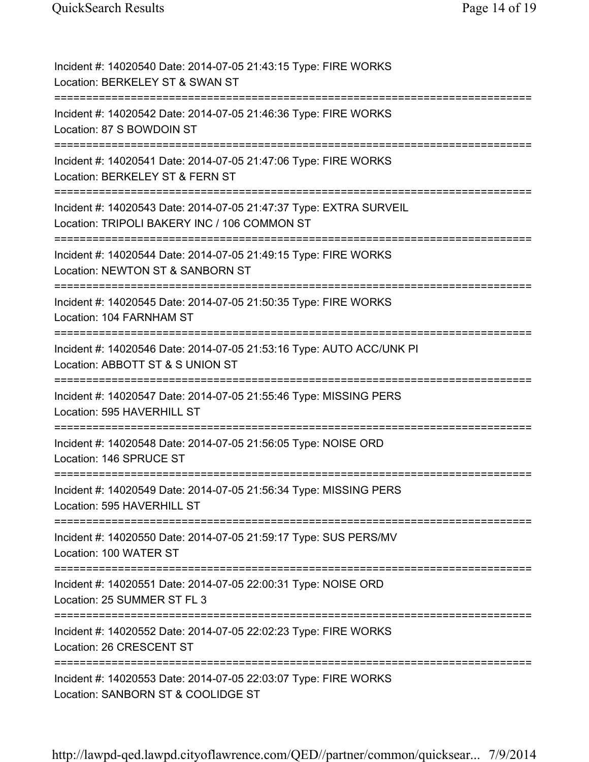| Incident #: 14020540 Date: 2014-07-05 21:43:15 Type: FIRE WORKS<br>Location: BERKELEY ST & SWAN ST                                     |
|----------------------------------------------------------------------------------------------------------------------------------------|
| Incident #: 14020542 Date: 2014-07-05 21:46:36 Type: FIRE WORKS<br>Location: 87 S BOWDOIN ST                                           |
| Incident #: 14020541 Date: 2014-07-05 21:47:06 Type: FIRE WORKS<br>Location: BERKELEY ST & FERN ST                                     |
| Incident #: 14020543 Date: 2014-07-05 21:47:37 Type: EXTRA SURVEIL<br>Location: TRIPOLI BAKERY INC / 106 COMMON ST                     |
| Incident #: 14020544 Date: 2014-07-05 21:49:15 Type: FIRE WORKS<br>Location: NEWTON ST & SANBORN ST                                    |
| Incident #: 14020545 Date: 2014-07-05 21:50:35 Type: FIRE WORKS<br>Location: 104 FARNHAM ST<br>---------------------------------       |
| Incident #: 14020546 Date: 2014-07-05 21:53:16 Type: AUTO ACC/UNK PI<br>Location: ABBOTT ST & S UNION ST                               |
| Incident #: 14020547 Date: 2014-07-05 21:55:46 Type: MISSING PERS<br>Location: 595 HAVERHILL ST                                        |
| Incident #: 14020548 Date: 2014-07-05 21:56:05 Type: NOISE ORD<br>Location: 146 SPRUCE ST                                              |
| Incident #: 14020549 Date: 2014-07-05 21:56:34 Type: MISSING PERS<br>Location: 595 HAVERHILL ST                                        |
| Incident #: 14020550 Date: 2014-07-05 21:59:17 Type: SUS PERS/MV<br>Location: 100 WATER ST                                             |
| :====================================<br>Incident #: 14020551 Date: 2014-07-05 22:00:31 Type: NOISE ORD<br>Location: 25 SUMMER ST FL 3 |
| Incident #: 14020552 Date: 2014-07-05 22:02:23 Type: FIRE WORKS<br>Location: 26 CRESCENT ST                                            |
| Incident #: 14020553 Date: 2014-07-05 22:03:07 Type: FIRE WORKS<br>Location: SANBORN ST & COOLIDGE ST                                  |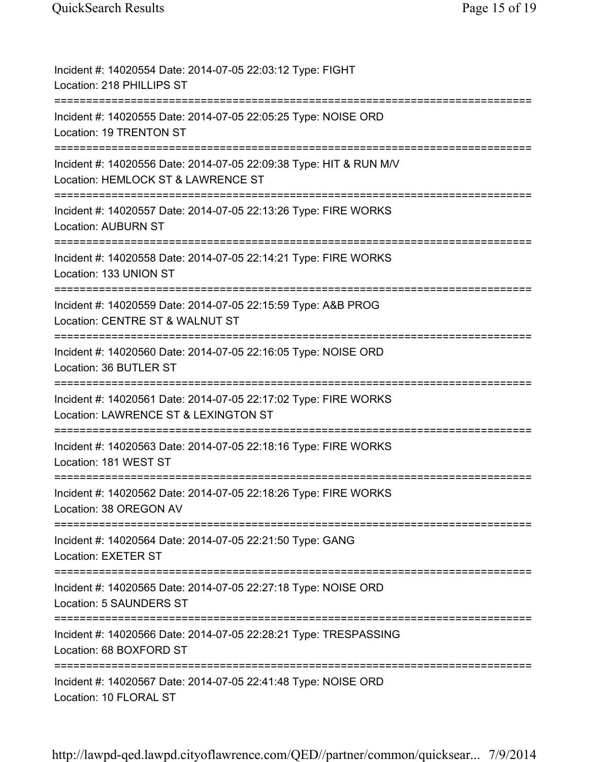| Incident #: 14020554 Date: 2014-07-05 22:03:12 Type: FIGHT<br>Location: 218 PHILLIPS ST                                       |
|-------------------------------------------------------------------------------------------------------------------------------|
| Incident #: 14020555 Date: 2014-07-05 22:05:25 Type: NOISE ORD<br>Location: 19 TRENTON ST                                     |
| Incident #: 14020556 Date: 2014-07-05 22:09:38 Type: HIT & RUN M/V<br>Location: HEMLOCK ST & LAWRENCE ST                      |
| Incident #: 14020557 Date: 2014-07-05 22:13:26 Type: FIRE WORKS<br><b>Location: AUBURN ST</b>                                 |
| Incident #: 14020558 Date: 2014-07-05 22:14:21 Type: FIRE WORKS<br>Location: 133 UNION ST                                     |
| Incident #: 14020559 Date: 2014-07-05 22:15:59 Type: A&B PROG<br>Location: CENTRE ST & WALNUT ST<br>;======================== |
| Incident #: 14020560 Date: 2014-07-05 22:16:05 Type: NOISE ORD<br>Location: 36 BUTLER ST                                      |
| Incident #: 14020561 Date: 2014-07-05 22:17:02 Type: FIRE WORKS<br>Location: LAWRENCE ST & LEXINGTON ST                       |
| Incident #: 14020563 Date: 2014-07-05 22:18:16 Type: FIRE WORKS<br>Location: 181 WEST ST                                      |
| Incident #: 14020562 Date: 2014-07-05 22:18:26 Type: FIRE WORKS<br>Location: 38 OREGON AV                                     |
| Incident #: 14020564 Date: 2014-07-05 22:21:50 Type: GANG<br>Location: EXETER ST                                              |
| Incident #: 14020565 Date: 2014-07-05 22:27:18 Type: NOISE ORD<br>Location: 5 SAUNDERS ST                                     |
| Incident #: 14020566 Date: 2014-07-05 22:28:21 Type: TRESPASSING<br>Location: 68 BOXFORD ST                                   |
| Incident #: 14020567 Date: 2014-07-05 22:41:48 Type: NOISE ORD<br>Location: 10 FLORAL ST                                      |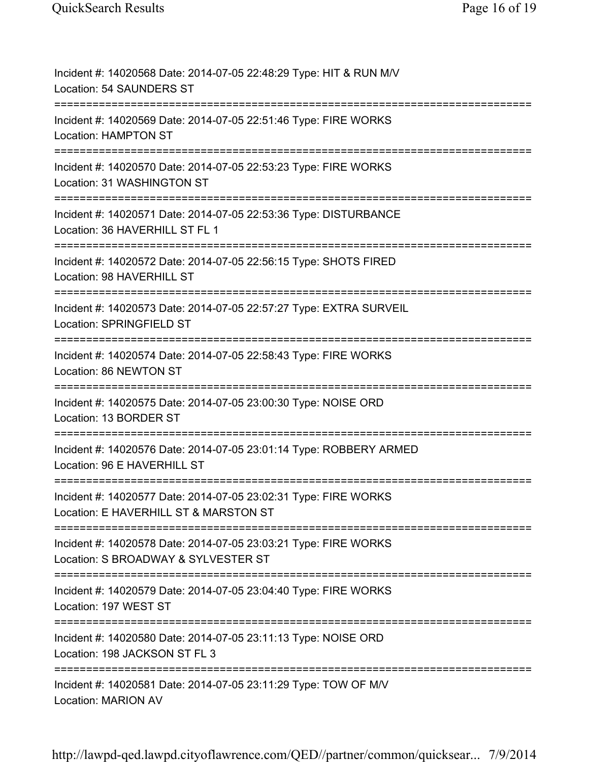| Incident #: 14020568 Date: 2014-07-05 22:48:29 Type: HIT & RUN M/V<br>Location: 54 SAUNDERS ST           |
|----------------------------------------------------------------------------------------------------------|
| Incident #: 14020569 Date: 2014-07-05 22:51:46 Type: FIRE WORKS<br><b>Location: HAMPTON ST</b>           |
| Incident #: 14020570 Date: 2014-07-05 22:53:23 Type: FIRE WORKS<br>Location: 31 WASHINGTON ST            |
| Incident #: 14020571 Date: 2014-07-05 22:53:36 Type: DISTURBANCE<br>Location: 36 HAVERHILL ST FL 1       |
| Incident #: 14020572 Date: 2014-07-05 22:56:15 Type: SHOTS FIRED<br>Location: 98 HAVERHILL ST            |
| Incident #: 14020573 Date: 2014-07-05 22:57:27 Type: EXTRA SURVEIL<br>Location: SPRINGFIELD ST           |
| Incident #: 14020574 Date: 2014-07-05 22:58:43 Type: FIRE WORKS<br>Location: 86 NEWTON ST                |
| Incident #: 14020575 Date: 2014-07-05 23:00:30 Type: NOISE ORD<br>Location: 13 BORDER ST                 |
| Incident #: 14020576 Date: 2014-07-05 23:01:14 Type: ROBBERY ARMED<br>Location: 96 E HAVERHILL ST        |
| Incident #: 14020577 Date: 2014-07-05 23:02:31 Type: FIRE WORKS<br>Location: E HAVERHILL ST & MARSTON ST |
| Incident #: 14020578 Date: 2014-07-05 23:03:21 Type: FIRE WORKS<br>Location: S BROADWAY & SYLVESTER ST   |
| Incident #: 14020579 Date: 2014-07-05 23:04:40 Type: FIRE WORKS<br>Location: 197 WEST ST                 |
| Incident #: 14020580 Date: 2014-07-05 23:11:13 Type: NOISE ORD<br>Location: 198 JACKSON ST FL 3          |
| Incident #: 14020581 Date: 2014-07-05 23:11:29 Type: TOW OF M/V<br><b>Location: MARION AV</b>            |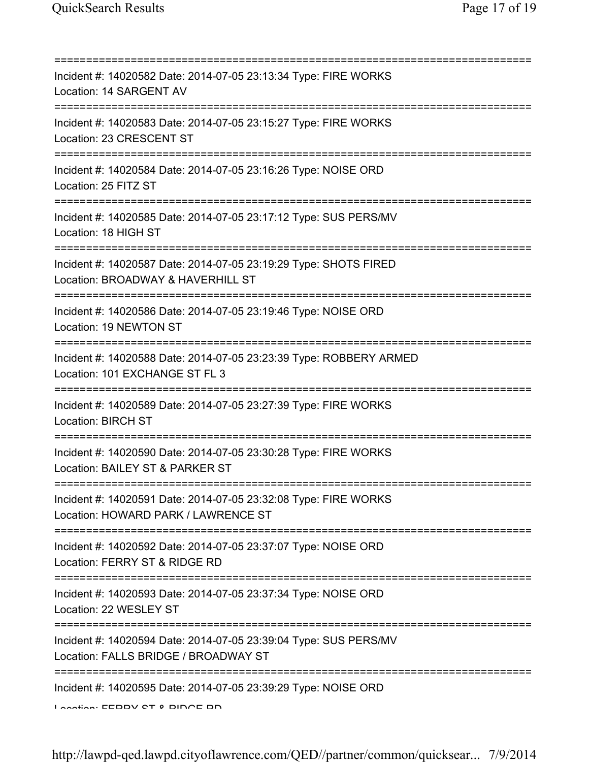| ============<br>Incident #: 14020582 Date: 2014-07-05 23:13:34 Type: FIRE WORKS<br>Location: 14 SARGENT AV                               |
|------------------------------------------------------------------------------------------------------------------------------------------|
| Incident #: 14020583 Date: 2014-07-05 23:15:27 Type: FIRE WORKS<br>Location: 23 CRESCENT ST                                              |
| Incident #: 14020584 Date: 2014-07-05 23:16:26 Type: NOISE ORD<br>Location: 25 FITZ ST                                                   |
| Incident #: 14020585 Date: 2014-07-05 23:17:12 Type: SUS PERS/MV<br>Location: 18 HIGH ST                                                 |
| Incident #: 14020587 Date: 2014-07-05 23:19:29 Type: SHOTS FIRED<br>Location: BROADWAY & HAVERHILL ST                                    |
| Incident #: 14020586 Date: 2014-07-05 23:19:46 Type: NOISE ORD<br>Location: 19 NEWTON ST                                                 |
| Incident #: 14020588 Date: 2014-07-05 23:23:39 Type: ROBBERY ARMED<br>Location: 101 EXCHANGE ST FL 3                                     |
| Incident #: 14020589 Date: 2014-07-05 23:27:39 Type: FIRE WORKS<br><b>Location: BIRCH ST</b>                                             |
| Incident #: 14020590 Date: 2014-07-05 23:30:28 Type: FIRE WORKS<br>Location: BAILEY ST & PARKER ST                                       |
| Incident #: 14020591 Date: 2014-07-05 23:32:08 Type: FIRE WORKS<br>Location: HOWARD PARK / LAWRENCE ST                                   |
| =====================================<br>Incident #: 14020592 Date: 2014-07-05 23:37:07 Type: NOISE ORD<br>Location: FERRY ST & RIDGE RD |
| Incident #: 14020593 Date: 2014-07-05 23:37:34 Type: NOISE ORD<br>Location: 22 WESLEY ST                                                 |
| Incident #: 14020594 Date: 2014-07-05 23:39:04 Type: SUS PERS/MV<br>Location: FALLS BRIDGE / BROADWAY ST                                 |
| Incident #: 14020595 Date: 2014-07-05 23:39:29 Type: NOISE ORD<br>Lootion: EEDDV CT 0 DINAE DN                                           |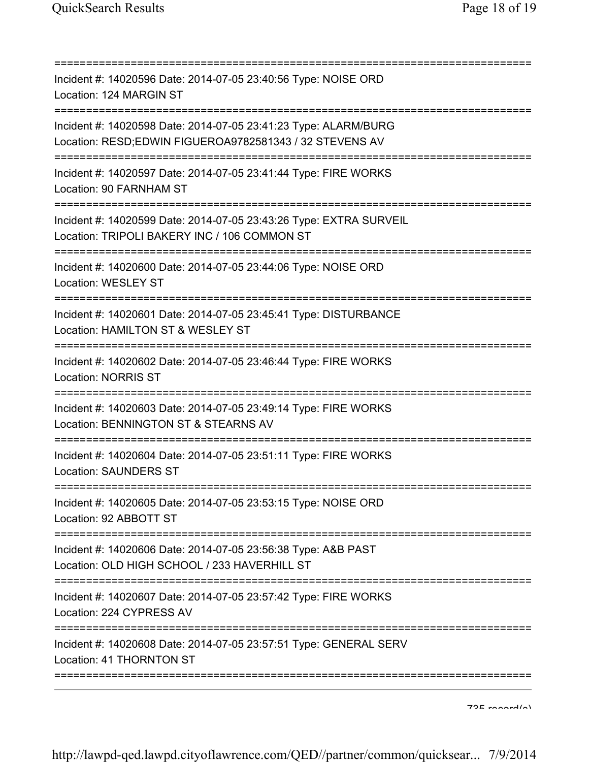| Incident #: 14020596 Date: 2014-07-05 23:40:56 Type: NOISE ORD<br>Location: 124 MARGIN ST<br>=====================                                |
|---------------------------------------------------------------------------------------------------------------------------------------------------|
| Incident #: 14020598 Date: 2014-07-05 23:41:23 Type: ALARM/BURG<br>Location: RESD;EDWIN FIGUEROA9782581343 / 32 STEVENS AV                        |
| Incident #: 14020597 Date: 2014-07-05 23:41:44 Type: FIRE WORKS<br>Location: 90 FARNHAM ST<br>:============                                       |
| Incident #: 14020599 Date: 2014-07-05 23:43:26 Type: EXTRA SURVEIL<br>Location: TRIPOLI BAKERY INC / 106 COMMON ST                                |
| Incident #: 14020600 Date: 2014-07-05 23:44:06 Type: NOISE ORD<br><b>Location: WESLEY ST</b>                                                      |
| Incident #: 14020601 Date: 2014-07-05 23:45:41 Type: DISTURBANCE<br>Location: HAMILTON ST & WESLEY ST                                             |
| Incident #: 14020602 Date: 2014-07-05 23:46:44 Type: FIRE WORKS<br><b>Location: NORRIS ST</b>                                                     |
| ;=====================================<br>Incident #: 14020603 Date: 2014-07-05 23:49:14 Type: FIRE WORKS<br>Location: BENNINGTON ST & STEARNS AV |
| ===========================<br>Incident #: 14020604 Date: 2014-07-05 23:51:11 Type: FIRE WORKS<br><b>Location: SAUNDERS ST</b>                    |
| Incident #: 14020605 Date: 2014-07-05 23:53:15 Type: NOISE ORD<br>Location: 92 ABBOTT ST                                                          |
| Incident #: 14020606 Date: 2014-07-05 23:56:38 Type: A&B PAST<br>Location: OLD HIGH SCHOOL / 233 HAVERHILL ST                                     |
| Incident #: 14020607 Date: 2014-07-05 23:57:42 Type: FIRE WORKS<br>Location: 224 CYPRESS AV                                                       |
| Incident #: 14020608 Date: 2014-07-05 23:57:51 Type: GENERAL SERV<br>Location: 41 THORNTON ST                                                     |
|                                                                                                                                                   |

 $795$  record(s)